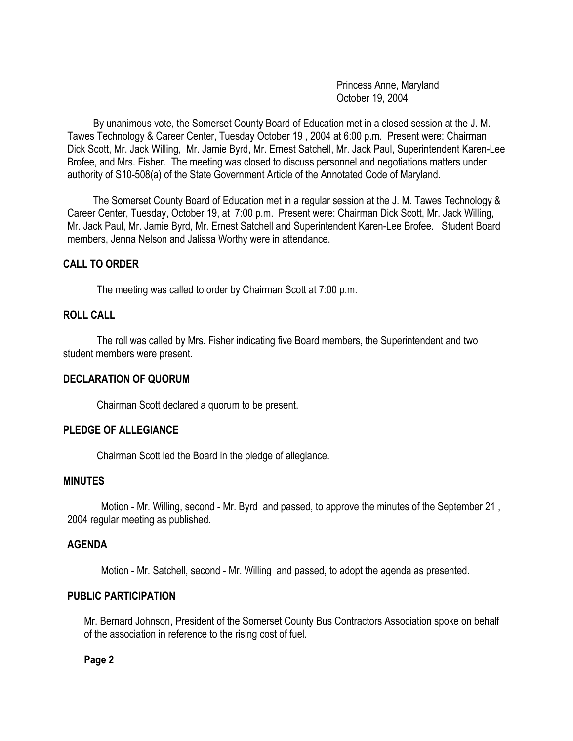Princess Anne, Maryland October 19, 2004

 By unanimous vote, the Somerset County Board of Education met in a closed session at the J. M. Tawes Technology & Career Center, Tuesday October 19 , 2004 at 6:00 p.m. Present were: Chairman Dick Scott, Mr. Jack Willing, Mr. Jamie Byrd, Mr. Ernest Satchell, Mr. Jack Paul, Superintendent Karen-Lee Brofee, and Mrs. Fisher. The meeting was closed to discuss personnel and negotiations matters under authority of S10-508(a) of the State Government Article of the Annotated Code of Maryland.

 The Somerset County Board of Education met in a regular session at the J. M. Tawes Technology & Career Center, Tuesday, October 19, at 7:00 p.m. Present were: Chairman Dick Scott, Mr. Jack Willing, Mr. Jack Paul, Mr. Jamie Byrd, Mr. Ernest Satchell and Superintendent Karen-Lee Brofee. Student Board members, Jenna Nelson and Jalissa Worthy were in attendance.

## **CALL TO ORDER**

The meeting was called to order by Chairman Scott at 7:00 p.m.

# **ROLL CALL**

The roll was called by Mrs. Fisher indicating five Board members, the Superintendent and two student members were present.

#### **DECLARATION OF QUORUM**

Chairman Scott declared a quorum to be present.

### **PLEDGE OF ALLEGIANCE**

Chairman Scott led the Board in the pledge of allegiance.

# **MINUTES**

Motion - Mr. Willing, second - Mr. Byrd and passed, to approve the minutes of the September 21 , 2004 regular meeting as published.

#### **AGENDA**

Motion - Mr. Satchell, second - Mr. Willing and passed, to adopt the agenda as presented.

### **PUBLIC PARTICIPATION**

Mr. Bernard Johnson, President of the Somerset County Bus Contractors Association spoke on behalf of the association in reference to the rising cost of fuel.

**Page 2**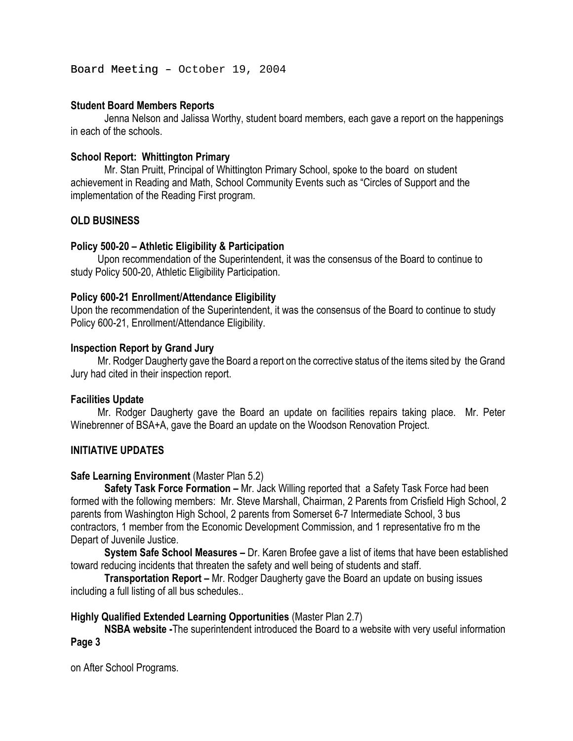Board Meeting - October 19, 2004

## **Student Board Members Reports**

 Jenna Nelson and Jalissa Worthy, student board members, each gave a report on the happenings in each of the schools.

## **School Report: Whittington Primary**

 Mr. Stan Pruitt, Principal of Whittington Primary School, spoke to the board on student achievement in Reading and Math, School Community Events such as "Circles of Support and the implementation of the Reading First program.

# **OLD BUSINESS**

## **Policy 500-20 – Athletic Eligibility & Participation**

Upon recommendation of the Superintendent, it was the consensus of the Board to continue to study Policy 500-20, Athletic Eligibility Participation.

## **Policy 600-21 Enrollment/Attendance Eligibility**

Upon the recommendation of the Superintendent, it was the consensus of the Board to continue to study Policy 600-21, Enrollment/Attendance Eligibility.

## **Inspection Report by Grand Jury**

Mr. Rodger Daugherty gave the Board a report on the corrective status of the items sited by the Grand Jury had cited in their inspection report.

### **Facilities Update**

Mr. Rodger Daugherty gave the Board an update on facilities repairs taking place. Mr. Peter Winebrenner of BSA+A, gave the Board an update on the Woodson Renovation Project.

# **INITIATIVE UPDATES**

### **Safe Learning Environment** (Master Plan 5.2)

**Safety Task Force Formation –** Mr. Jack Willing reported that a Safety Task Force had been formed with the following members: Mr. Steve Marshall, Chairman, 2 Parents from Crisfield High School, 2 parents from Washington High School, 2 parents from Somerset 6-7 Intermediate School, 3 bus contractors, 1 member from the Economic Development Commission, and 1 representative fro m the Depart of Juvenile Justice.

**System Safe School Measures –** Dr. Karen Brofee gave a list of items that have been established toward reducing incidents that threaten the safety and well being of students and staff.

**Transportation Report –** Mr. Rodger Daugherty gave the Board an update on busing issues including a full listing of all bus schedules..

### **Highly Qualified Extended Learning Opportunities** (Master Plan 2.7)

**NSBA website -**The superintendent introduced the Board to a website with very useful information **Page 3** 

on After School Programs.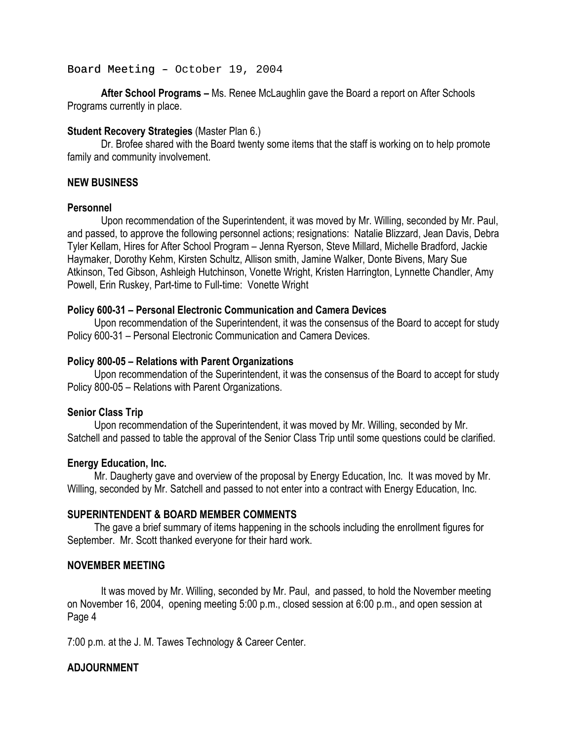### Board Meeting - October 19, 2004

 **After School Programs –** Ms. Renee McLaughlin gave the Board a report on After Schools Programs currently in place.

### **Student Recovery Strategies** (Master Plan 6.)

 Dr. Brofee shared with the Board twenty some items that the staff is working on to help promote family and community involvement.

## **NEW BUSINESS**

## **Personnel**

Upon recommendation of the Superintendent, it was moved by Mr. Willing, seconded by Mr. Paul, and passed, to approve the following personnel actions; resignations: Natalie Blizzard, Jean Davis, Debra Tyler Kellam, Hires for After School Program – Jenna Ryerson, Steve Millard, Michelle Bradford, Jackie Haymaker, Dorothy Kehm, Kirsten Schultz, Allison smith, Jamine Walker, Donte Bivens, Mary Sue Atkinson, Ted Gibson, Ashleigh Hutchinson, Vonette Wright, Kristen Harrington, Lynnette Chandler, Amy Powell, Erin Ruskey, Part-time to Full-time: Vonette Wright

### **Policy 600-31 – Personal Electronic Communication and Camera Devices**

Upon recommendation of the Superintendent, it was the consensus of the Board to accept for study Policy 600-31 – Personal Electronic Communication and Camera Devices.

### **Policy 800-05 – Relations with Parent Organizations**

Upon recommendation of the Superintendent, it was the consensus of the Board to accept for study Policy 800-05 – Relations with Parent Organizations.

### **Senior Class Trip**

Upon recommendation of the Superintendent, it was moved by Mr. Willing, seconded by Mr. Satchell and passed to table the approval of the Senior Class Trip until some questions could be clarified.

### **Energy Education, Inc.**

 Mr. Daugherty gave and overview of the proposal by Energy Education, Inc. It was moved by Mr. Willing, seconded by Mr. Satchell and passed to not enter into a contract with Energy Education, Inc.

### **SUPERINTENDENT & BOARD MEMBER COMMENTS**

The gave a brief summary of items happening in the schools including the enrollment figures for September. Mr. Scott thanked everyone for their hard work.

### **NOVEMBER MEETING**

It was moved by Mr. Willing, seconded by Mr. Paul, and passed, to hold the November meeting on November 16, 2004, opening meeting 5:00 p.m., closed session at 6:00 p.m., and open session at Page 4

7:00 p.m. at the J. M. Tawes Technology & Career Center.

# **ADJOURNMENT**